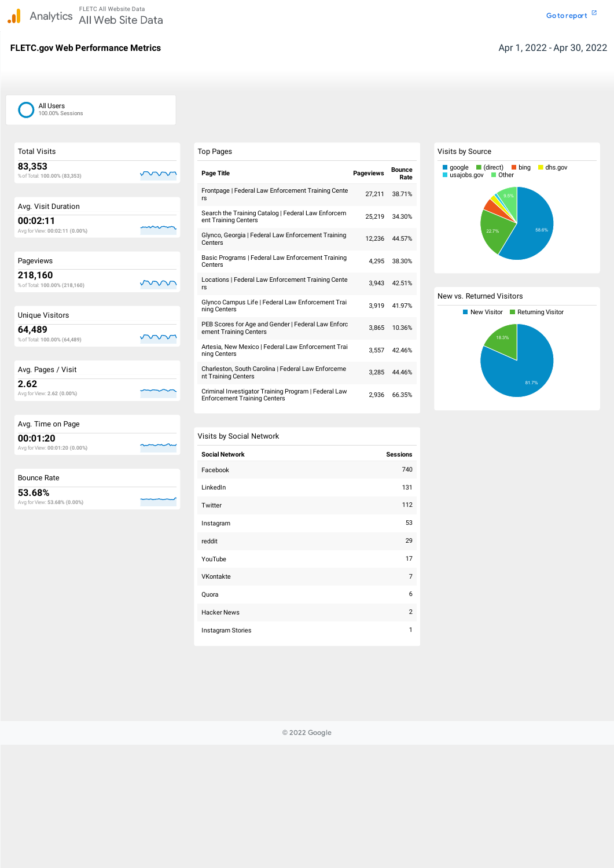## **FLETC.gov Web Performance Metrics Aproximate Metrics Aproximate 1, 2022 - Apr 30, 2022**

| <b>Total Visits</b>                        |  |
|--------------------------------------------|--|
| 83,353<br>% of Total: 100.00% (83,353)     |  |
|                                            |  |
| Avg. Visit Duration                        |  |
| 00:02:11<br>Avg for View: 00:02:11 (0.00%) |  |
|                                            |  |
| Pageviews                                  |  |
| 218,160<br>% of Total: 100.00% (218,160)   |  |
|                                            |  |
| <b>Unique Visitors</b>                     |  |
| 64,489<br>% of Total: 100.00% (64,489)     |  |
|                                            |  |
| Avg. Pages / Visit                         |  |
| 2.62<br>Avg for View: 2.62 (0.00%)         |  |
|                                            |  |
| Avg. Time on Page                          |  |
| 00:01:20<br>Avg for View: 00:01:20 (0.00%) |  |
| <b>Bounce Rate</b>                         |  |
| 53.68%<br>Avg for View: 53.68% (0.00%)     |  |

| <b>Top Pages</b>                                                                            |                  |                       |
|---------------------------------------------------------------------------------------------|------------------|-----------------------|
| <b>Page Title</b>                                                                           | <b>Pageviews</b> | <b>Bounce</b><br>Rate |
| Frontpage   Federal Law Enforcement Training Cente<br>rs                                    | 27,211           | 38.71%                |
| Search the Training Catalog   Federal Law Enforcem<br>ent Training Centers                  | 25,219           | 34.30%                |
| Glynco, Georgia   Federal Law Enforcement Training<br>Centers                               | 12,236           | 44.57%                |
| Basic Programs   Federal Law Enforcement Training<br>Centers                                | 4,295            | 38.30%                |
| Locations   Federal Law Enforcement Training Cente<br>rs                                    | 3,943            | 42.51%                |
| Glynco Campus Life   Federal Law Enforcement Trai<br>ning Centers                           | 3,919            | 41.97%                |
| PEB Scores for Age and Gender   Federal Law Enforc<br>ement Training Centers                | 3,865            | 10.36%                |
| Artesia, New Mexico   Federal Law Enforcement Trai<br>ning Centers                          | 3,557            | 42.46%                |
| Charleston, South Carolina   Federal Law Enforceme<br>nt Training Centers                   | 3,285            | 44.46%                |
| Criminal Investigator Training Program   Federal Law<br><b>Enforcement Training Centers</b> | 2,936            | 66.35%                |

#### Visits by Social Network

| <b>Social Network</b> | <b>Sessions</b> |
|-----------------------|-----------------|
| Facebook              | 740             |
| LinkedIn              | 131             |
| Twitter               | 112             |
| Instagram             | 53              |
| reddit                | 29              |
| YouTube               | 17              |
| VKontakte             | 7               |

| Quora              |  |
|--------------------|--|
| <b>Hacker News</b> |  |
| Instagram Stories  |  |

### Visits by Source

#### New vs. Returned Visitors





© 2022 Google

#### All Users 100.00% Sessions